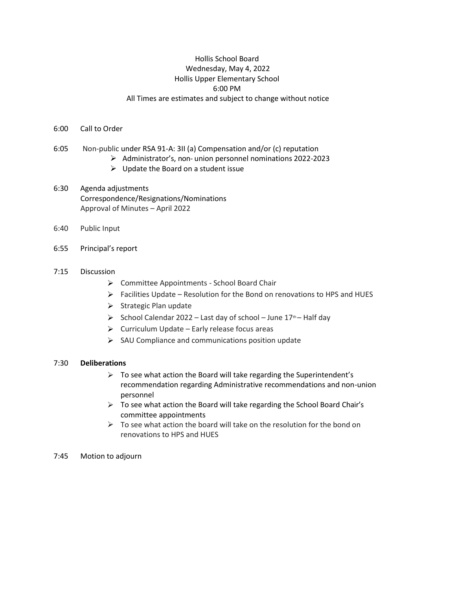## Hollis School Board Wednesday, May 4, 2022 Hollis Upper Elementary School 6:00 PM All Times are estimates and subject to change without notice

#### 6:00 Call to Order

- 6:05 Non-public under RSA 91-A: 3II (a) Compensation and/or (c) reputation
	- Administrator's, non- union personnel nominations 2022-2023
	- $\triangleright$  Update the Board on a student issue
- 6:30 Agenda adjustments Correspondence/Resignations/Nominations Approval of Minutes – April 2022
- 6:40 Public Input
- 6:55 Principal's report
- 7:15 Discussion
	- ▶ Committee Appointments School Board Chair
	- $\triangleright$  Facilities Update Resolution for the Bond on renovations to HPS and HUES
	- $\triangleright$  Strategic Plan update
	- $\triangleright$  School Calendar 2022 Last day of school June 17<sup>th</sup> Half day
	- $\triangleright$  Curriculum Update Early release focus areas
	- $\triangleright$  SAU Compliance and communications position update

### 7:30 **Deliberations**

- $\triangleright$  To see what action the Board will take regarding the Superintendent's recommendation regarding Administrative recommendations and non-union personnel
- $\triangleright$  To see what action the Board will take regarding the School Board Chair's committee appointments
- $\triangleright$  To see what action the board will take on the resolution for the bond on renovations to HPS and HUES
- 7:45 Motion to adjourn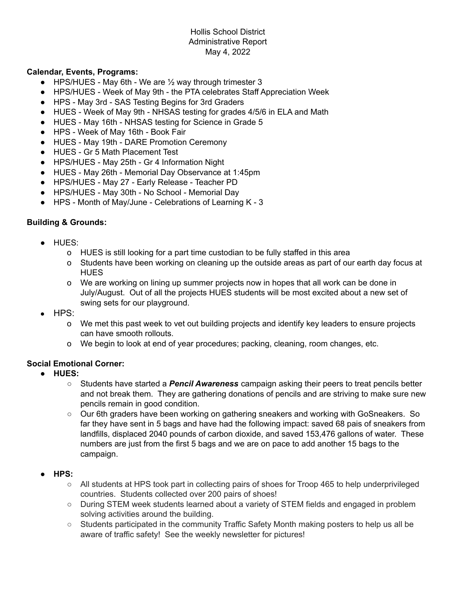## Hollis School District Administrative Report May 4, 2022

## **Calendar, Events, Programs:**

- HPS/HUES May 6th We are  $\frac{1}{2}$  way through trimester 3
- HPS/HUES Week of May 9th the PTA celebrates Staff Appreciation Week
- HPS May 3rd SAS Testing Begins for 3rd Graders
- HUES Week of May 9th NHSAS testing for grades 4/5/6 in ELA and Math
- HUES May 16th NHSAS testing for Science in Grade 5
- HPS Week of May 16th Book Fair
- HUES May 19th DARE Promotion Ceremony
- HUES Gr 5 Math Placement Test
- HPS/HUES May 25th Gr 4 Information Night
- HUES May 26th Memorial Day Observance at 1:45pm
- HPS/HUES May 27 Early Release Teacher PD
- HPS/HUES May 30th No School Memorial Day
- HPS Month of May/June Celebrations of Learning K 3

## **Building & Grounds:**

- HUES:
	- o HUES is still looking for a part time custodian to be fully staffed in this area
	- o Students have been working on cleaning up the outside areas as part of our earth day focus at **HUES**
	- o We are working on lining up summer projects now in hopes that all work can be done in July/August. Out of all the projects HUES students will be most excited about a new set of swing sets for our playground.
- HPS:
	- o We met this past week to vet out building projects and identify key leaders to ensure projects can have smooth rollouts.
	- o We begin to look at end of year procedures; packing, cleaning, room changes, etc.

## **Social Emotional Corner:**

- **● HUES:**
	- Students have started a *Pencil Awareness* campaign asking their peers to treat pencils better and not break them. They are gathering donations of pencils and are striving to make sure new pencils remain in good condition.
	- Our 6th graders have been working on gathering sneakers and working with GoSneakers. So far they have sent in 5 bags and have had the following impact: saved 68 pais of sneakers from landfills, displaced 2040 pounds of carbon dioxide, and saved 153,476 gallons of water. These numbers are just from the first 5 bags and we are on pace to add another 15 bags to the campaign.
- **● HPS:**
	- All students at HPS took part in collecting pairs of shoes for Troop 465 to help underprivileged countries. Students collected over 200 pairs of shoes!
	- During STEM week students learned about a variety of STEM fields and engaged in problem solving activities around the building.
	- Students participated in the community Traffic Safety Month making posters to help us all be aware of traffic safety! See the weekly newsletter for pictures!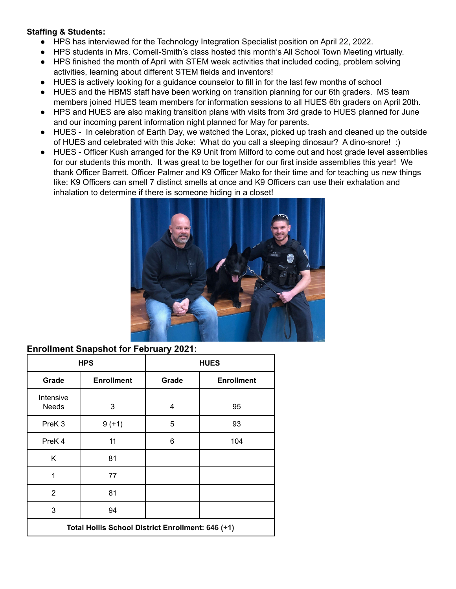## **Staffing & Students:**

- HPS has interviewed for the Technology Integration Specialist position on April 22, 2022.
- HPS students in Mrs. Cornell-Smith's class hosted this month's All School Town Meeting virtually.
- HPS finished the month of April with STEM week activities that included coding, problem solving activities, learning about different STEM fields and inventors!
- HUES is actively looking for a guidance counselor to fill in for the last few months of school
- HUES and the HBMS staff have been working on transition planning for our 6th graders. MS team members joined HUES team members for information sessions to all HUES 6th graders on April 20th.
- HPS and HUES are also making transition plans with visits from 3rd grade to HUES planned for June and our incoming parent information night planned for May for parents.
- HUES In celebration of Earth Day, we watched the Lorax, picked up trash and cleaned up the outside of HUES and celebrated with this Joke: What do you call a sleeping dinosaur? A dino-snore! :)
- HUES Officer Kush arranged for the K9 Unit from Milford to come out and host grade level assemblies for our students this month. It was great to be together for our first inside assemblies this year! We thank Officer Barrett, Officer Palmer and K9 Officer Mako for their time and for teaching us new things like: K9 Officers can smell 7 distinct smells at once and K9 Officers can use their exhalation and inhalation to determine if there is someone hiding in a closet!



# **Enrollment Snapshot for February 2021:**

| <b>HPS</b>                                        |                   | <b>HUES</b> |                   |  |  |  |
|---------------------------------------------------|-------------------|-------------|-------------------|--|--|--|
| Grade                                             | <b>Enrollment</b> | Grade       | <b>Enrollment</b> |  |  |  |
| Intensive<br><b>Needs</b>                         | 3                 | 4           | 95                |  |  |  |
| PreK <sub>3</sub>                                 | $9 (+1)$          | 5           | 93                |  |  |  |
| PreK <sub>4</sub>                                 | 11                | 6           | 104               |  |  |  |
| K                                                 | 81                |             |                   |  |  |  |
| 1                                                 | 77                |             |                   |  |  |  |
| $\overline{2}$                                    | 81                |             |                   |  |  |  |
| 3                                                 | 94                |             |                   |  |  |  |
| Total Hollis School District Enrollment: 646 (+1) |                   |             |                   |  |  |  |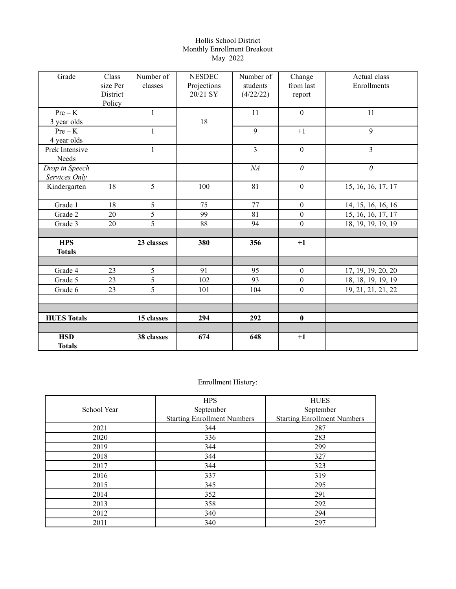#### Hollis School District Monthly Enrollment Breakout May 2022

| Grade                           | Class<br>size Per<br>District<br>Policy | Number of<br>classes | <b>NESDEC</b><br>Projections<br>20/21 SY | Number of<br>students<br>(4/22/22) | Change<br>from last<br>report | Actual class<br>Enrollments |
|---------------------------------|-----------------------------------------|----------------------|------------------------------------------|------------------------------------|-------------------------------|-----------------------------|
| $Pre - K$<br>3 year olds        |                                         | $\mathbf{1}$         | 18                                       | 11                                 | $\mathbf{0}$                  | 11                          |
| $Pre - K$<br>4 year olds        |                                         | $\mathbf{1}$         |                                          | 9                                  | $+1$                          | 9                           |
| Prek Intensive<br>Needs         |                                         | $\mathbf{1}$         |                                          | $\overline{3}$                     | $\boldsymbol{0}$              | $\overline{3}$              |
| Drop in Speech<br>Services Only |                                         |                      |                                          | NA                                 | $\theta$                      | $\theta$                    |
| Kindergarten                    | 18                                      | 5                    | 100                                      | 81                                 | $\boldsymbol{0}$              | 15, 16, 16, 17, 17          |
| Grade 1                         | 18                                      | 5                    | 75                                       | 77                                 | $\boldsymbol{0}$              | 14, 15, 16, 16, 16          |
| Grade 2                         | 20                                      | 5                    | 99                                       | 81                                 | $\boldsymbol{0}$              | 15, 16, 16, 17, 17          |
| Grade 3                         | 20                                      | 5                    | 88                                       | 94                                 | $\boldsymbol{0}$              | 18, 19, 19, 19, 19          |
|                                 |                                         |                      |                                          |                                    |                               |                             |
| <b>HPS</b><br><b>Totals</b>     |                                         | 23 classes           | 380                                      | 356                                | $+1$                          |                             |
|                                 |                                         |                      |                                          |                                    |                               |                             |
| Grade 4                         | 23                                      | 5                    | 91                                       | 95                                 | $\boldsymbol{0}$              | 17, 19, 19, 20, 20          |
| Grade 5                         | 23                                      | 5                    | 102                                      | 93                                 | $\boldsymbol{0}$              | 18, 18, 19, 19, 19          |
| Grade 6                         | 23                                      | 5                    | 101                                      | 104                                | $\overline{0}$                | 19, 21, 21, 21, 22          |
|                                 |                                         |                      |                                          |                                    |                               |                             |
|                                 |                                         |                      |                                          |                                    |                               |                             |
| <b>HUES Totals</b>              |                                         | 15 classes           | 294                                      | 292                                | $\bf{0}$                      |                             |
|                                 |                                         |                      |                                          |                                    |                               |                             |
| <b>HSD</b><br><b>Totals</b>     |                                         | 38 classes           | 674                                      | 648                                | $+1$                          |                             |

# Enrollment History:

|             | <b>HPS</b>                         | <b>HUES</b>                        |
|-------------|------------------------------------|------------------------------------|
| School Year | September                          | September                          |
|             | <b>Starting Enrollment Numbers</b> | <b>Starting Enrollment Numbers</b> |
| 2021        | 344                                | 287                                |
| 2020        | 336                                | 283                                |
| 2019        | 344                                | 299                                |
| 2018        | 344                                | 327                                |
| 2017        | 344                                | 323                                |
| 2016        | 337                                | 319                                |
| 2015        | 345                                | 295                                |
| 2014        | 352                                | 291                                |
| 2013        | 358                                | 292                                |
| 2012        | 340                                | 294                                |
| 2011        | 340                                | 297                                |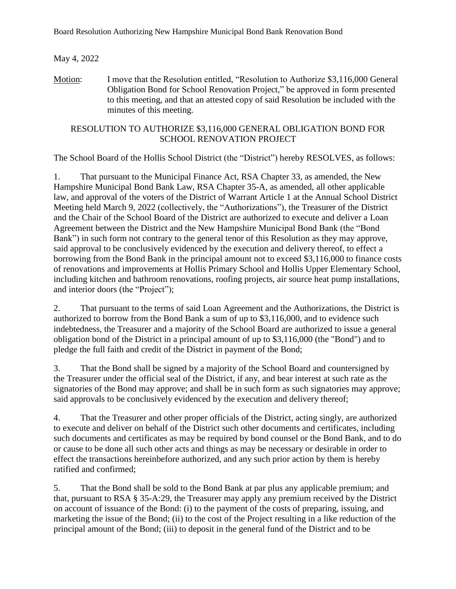May 4, 2022

Motion: I move that the Resolution entitled, "Resolution to Authorize \$3,116,000 General Obligation Bond for School Renovation Project," be approved in form presented to this meeting, and that an attested copy of said Resolution be included with the minutes of this meeting.

# RESOLUTION TO AUTHORIZE \$3,116,000 GENERAL OBLIGATION BOND FOR SCHOOL RENOVATION PROJECT

The School Board of the Hollis School District (the "District") hereby RESOLVES, as follows:

1. That pursuant to the Municipal Finance Act, RSA Chapter 33, as amended, the New Hampshire Municipal Bond Bank Law, RSA Chapter 35-A, as amended, all other applicable law, and approval of the voters of the District of Warrant Article 1 at the Annual School District Meeting held March 9, 2022 (collectively, the "Authorizations"), the Treasurer of the District and the Chair of the School Board of the District are authorized to execute and deliver a Loan Agreement between the District and the New Hampshire Municipal Bond Bank (the "Bond Bank") in such form not contrary to the general tenor of this Resolution as they may approve, said approval to be conclusively evidenced by the execution and delivery thereof, to effect a borrowing from the Bond Bank in the principal amount not to exceed \$3,116,000 to finance costs of renovations and improvements at Hollis Primary School and Hollis Upper Elementary School, including kitchen and bathroom renovations, roofing projects, air source heat pump installations, and interior doors (the "Project");

2. That pursuant to the terms of said Loan Agreement and the Authorizations, the District is authorized to borrow from the Bond Bank a sum of up to \$3,116,000, and to evidence such indebtedness, the Treasurer and a majority of the School Board are authorized to issue a general obligation bond of the District in a principal amount of up to \$3,116,000 (the "Bond") and to pledge the full faith and credit of the District in payment of the Bond;

3. That the Bond shall be signed by a majority of the School Board and countersigned by the Treasurer under the official seal of the District, if any, and bear interest at such rate as the signatories of the Bond may approve; and shall be in such form as such signatories may approve; said approvals to be conclusively evidenced by the execution and delivery thereof;

4. That the Treasurer and other proper officials of the District, acting singly, are authorized to execute and deliver on behalf of the District such other documents and certificates, including such documents and certificates as may be required by bond counsel or the Bond Bank, and to do or cause to be done all such other acts and things as may be necessary or desirable in order to effect the transactions hereinbefore authorized, and any such prior action by them is hereby ratified and confirmed;

5. That the Bond shall be sold to the Bond Bank at par plus any applicable premium; and that, pursuant to RSA § 35-A:29, the Treasurer may apply any premium received by the District on account of issuance of the Bond: (i) to the payment of the costs of preparing, issuing, and marketing the issue of the Bond; (ii) to the cost of the Project resulting in a like reduction of the principal amount of the Bond; (iii) to deposit in the general fund of the District and to be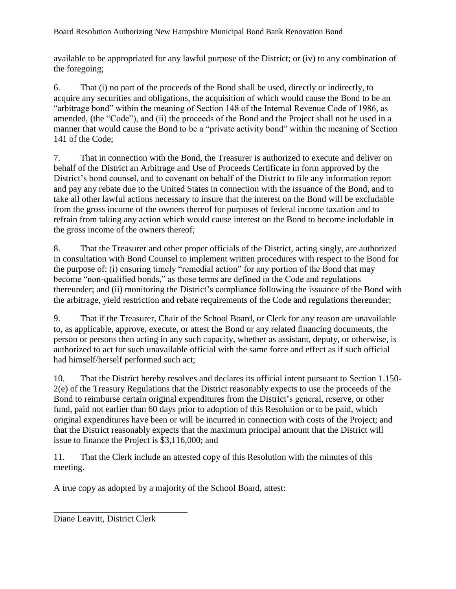Board Resolution Authorizing New Hampshire Municipal Bond Bank Renovation Bond

available to be appropriated for any lawful purpose of the District; or (iv) to any combination of the foregoing;

6. That (i) no part of the proceeds of the Bond shall be used, directly or indirectly, to acquire any securities and obligations, the acquisition of which would cause the Bond to be an "arbitrage bond" within the meaning of Section 148 of the Internal Revenue Code of 1986, as amended, (the "Code"), and (ii) the proceeds of the Bond and the Project shall not be used in a manner that would cause the Bond to be a "private activity bond" within the meaning of Section 141 of the Code;

7. That in connection with the Bond, the Treasurer is authorized to execute and deliver on behalf of the District an Arbitrage and Use of Proceeds Certificate in form approved by the District's bond counsel, and to covenant on behalf of the District to file any information report and pay any rebate due to the United States in connection with the issuance of the Bond, and to take all other lawful actions necessary to insure that the interest on the Bond will be excludable from the gross income of the owners thereof for purposes of federal income taxation and to refrain from taking any action which would cause interest on the Bond to become includable in the gross income of the owners thereof;

8. That the Treasurer and other proper officials of the District, acting singly, are authorized in consultation with Bond Counsel to implement written procedures with respect to the Bond for the purpose of: (i) ensuring timely "remedial action" for any portion of the Bond that may become "non-qualified bonds," as those terms are defined in the Code and regulations thereunder; and (ii) monitoring the District's compliance following the issuance of the Bond with the arbitrage, yield restriction and rebate requirements of the Code and regulations thereunder;

9. That if the Treasurer, Chair of the School Board, or Clerk for any reason are unavailable to, as applicable, approve, execute, or attest the Bond or any related financing documents, the person or persons then acting in any such capacity, whether as assistant, deputy, or otherwise, is authorized to act for such unavailable official with the same force and effect as if such official had himself/herself performed such act;

10. That the District hereby resolves and declares its official intent pursuant to Section 1.150- 2(e) of the Treasury Regulations that the District reasonably expects to use the proceeds of the Bond to reimburse certain original expenditures from the District's general, reserve, or other fund, paid not earlier than 60 days prior to adoption of this Resolution or to be paid, which original expenditures have been or will be incurred in connection with costs of the Project; and that the District reasonably expects that the maximum principal amount that the District will issue to finance the Project is \$3,116,000; and

11. That the Clerk include an attested copy of this Resolution with the minutes of this meeting.

A true copy as adopted by a majority of the School Board, attest:

Diane Leavitt, District Clerk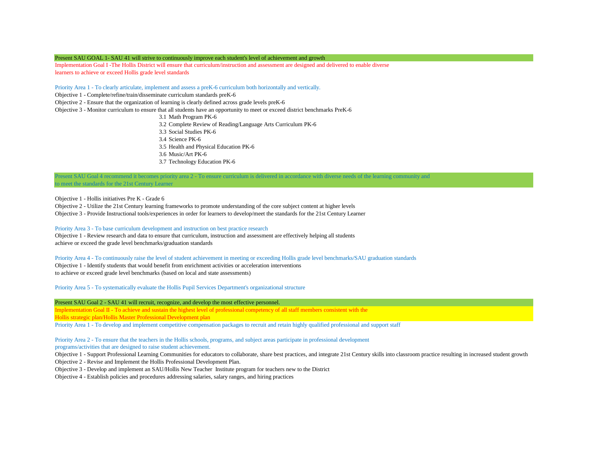#### Present SAU GOAL 1- SAU 41 will strive to continuously improve each student's level of achievement and growth

Implementation Goal I -The Hollis District will ensure that curriculum/instruction and assessment are designed and delivered to enable diverse learners to achieve or exceed Hollis grade level standards

Priority Area 1 - To clearly articulate, implement and assess a preK-6 curriculum both horizontally and vertically.

Objective 1 - Complete/refine/train/disseminate curriculum standards preK-6

Objective 2 - Ensure that the organization of learning is clearly defined across grade levels preK-6

Objective 3 - Monitor curriculum to ensure that all students have an opportunity to meet or exceed district benchmarks PreK-6

3.1 Math Program PK-6

3.2 Complete Review of Reading/Language Arts Curriculum PK-6

- 3.3 Social Studies PK-6
- 3.4 Science PK-6
- 3.5 Health and Physical Education PK-6
- 3.6 Music/Art PK-6
- 3.7 Technology Education PK-6

Present SAU Goal 4 recommend it becomes priority area 2 - To ensure curriculum is delivered in accordance with diverse needs of the learning community and to meet the standards for the 21st Century Learner

Objective 1 - Hollis initiatives Pre K - Grade 6

Objective 2 - Utilize the 21st Century learning frameworks to promote understanding of the core subject content at higher levels

Objective 3 - Provide Instructional tools/experiences in order for learners to develop/meet the standards for the 21st Century Learner

#### Priority Area 3 - To base curriculum development and instruction on best practice research

Objective 1 - Review research and data to ensure that curriculum, instruction and assessment are effectively helping all students achieve or exceed the grade level benchmarks/graduation standards

Priority Area 4 - To continuously raise the level of student achievement in meeting or exceeding Hollis grade level benchmarks/SAU graduation standards Objective 1 - Identify students that would benefit from enrichment activities or acceleration interventions to achieve or exceed grade level benchmarks (based on local and state assessments)

Priority Area 5 - To systematically evaluate the Hollis Pupil Services Department's organizational structure

Present SAU Goal 2 - SAU 41 will recruit, recognize, and develop the most effective personnel.

Implementation Goal II - To achieve and sustain the highest level of professional competency of all staff members consistent with the Hollis strategic plan/Hollis Master Professional Development plan

Priority Area 1 - To develop and implement competitive compensation packages to recruit and retain highly qualified professional and support staff

#### Priority Area 2 - To ensure that the teachers in the Hollis schools, programs, and subject areas participate in professional development

programs/activities that are designed to raise student achievement.

Objective 1 - Support Professional Learning Communities for educators to collaborate, share best practices, and integrate 21st Century skills into classroom practice resulting in increased student growth

Objective 2 - Revise and Implement the Hollis Professional Development Plan.

- Objective 3 Develop and implement an SAU/Hollis New Teacher Institute program for teachers new to the District
- Objective 4 Establish policies and procedures addressing salaries, salary ranges, and hiring practices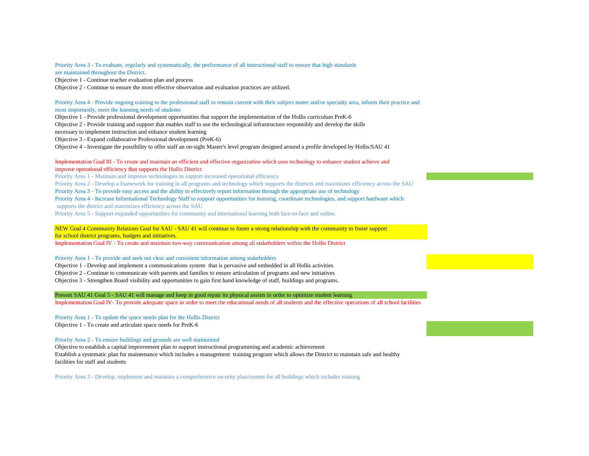Priority Area 3 - To evaluate, regularly and systematically, the performance of all instructional staff to ensure that high standards are maintained throughout the District.

Objective 1 - Continue teacher evaluation plan and process

Objective 2 - Continue to ensure the most effective observation and evaluation practices are utilized.

#### Priority Area 4 - Provide ongoing training to the professional staff to remain current with their subject mater and/or specialty area, inform their practice and most importantly, meet the learning needs of students

Objective 1 - Provide professional development opportunities that support the implementation of the Hollis curriculum PreK-6

Objective 2 - Provide training and support that enables staff to use the technological infrastructure responsibly and develop the skills

necessary to implement instruction and enhance student learning

Objective 3 - Expand collaborative Professional development (PreK-6)

Objective 4 - Investigate the possibility to offer staff an on-sight Master's level program designed around a profile developed by Hollis/SAU 41

#### Implementation Goal III - To create and maintain an efficient and effective organization which uses technology to enhance student achieve and improve operational efficiency that supports the Hollis District

Priority Area 1 - Maintain and improve technologies to support increased operational efficiency

Priority Area 2 - Develop a framework for training in all programs and technology which supports the districts and maximizes efficiency across the SAU

Priority Area 3 - To provide easy access and the ability to effectively report information through the appropriate use of technology

Priority Area 4 - Increase Informational Technology Staff to support opportunities for learning, coordinate technologies, and support hardware which supports the district and maximizes efficiency across the SAU

Priority Area 5 - Support expanded opportunities for community and international learning both face-to-face and online.

NEW Goal 4 Community Relations Goal for SAU - SAU 41 will continue to foster a strong relationship with the community to foster support for school district programs, budgets and initiatives.

Implementation Goal IV - To create and maintain two-way communication among all stakeholders within the Hollis District

Priority Area 1 - To provide and seek out clear and consistent information among stakeholders

Objective 1 - Develop and implement a communications system that is pervasive and embedded in all Hollis activities

Objective 2 - Continue to communicate with parents and families to ensure articulation of programs and new initiatives

Objective 3 - Strengthen Board visibility and opportunities to gain first hand knowledge of staff, buildings and programs.

#### Present SAU 41 Goal 5 - SAU 41 will manage and keep in good repair its physical assists in order to optimize student learning

Implementation Goal IV- To provide adequate space in order to meet the educational needs of all students and the effective operations of all school facilities

Priority Area 1 - To update the space needs plan for the Hollis District Objective 1 - To create and articulate space needs for PreK-6

Priority Area 2 - To ensure buildings and grounds are well maintained

Objective to establish a capital improvement plan to support instructional programming and academic achievement Establish a systematic plan for maintenance which includes a management training program which allows the District to maintain safe and healthy facilities for staff and students

Priority Area 3 - Develop, implement and maintain a comprehensive security plan/system for all buildings which includes training